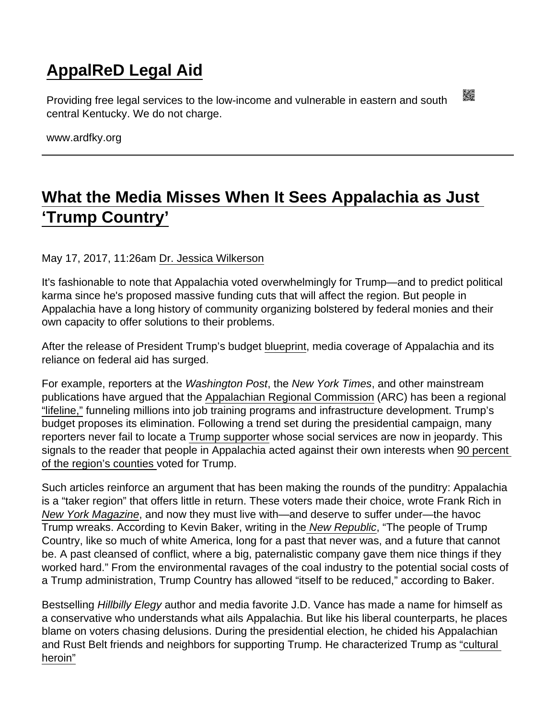## [AppalReD Legal Aid](https://www.ardfky.org/)

Providing free legal services to the low-income and vulnerable in eastern and south central Kentucky. We do not charge.

www.ardfky.org

## [What the Media Misses When It Sees Appalachia as Just](https://www.ardfky.org/node/138/what-media-misses-when-it-sees-appalachia-just-‘trump-country’)  ['Trump Country'](https://www.ardfky.org/node/138/what-media-misses-when-it-sees-appalachia-just-‘trump-country’)

## May 17, 2017, 11:26am [Dr. Jessica Wilkerson](https://rewire.news/author/dr-jessica-wilkerson/)

It's fashionable to note that Appalachia voted overwhelmingly for Trump—and to predict political karma since he's proposed massive funding cuts that will affect the region. But people in Appalachia have a long history of community organizing bolstered by federal monies and their own capacity to offer solutions to their problems.

After the release of President Trump's budget [blueprint](https://www.whitehouse.gov/sites/whitehouse.gov/files/omb/budget/fy2018/2018_blueprint.pdf), media coverage of Appalachia and its reliance on federal aid has surged.

For example, reporters at the Washington Post, the New York Times, and other mainstream publications have argued that the [Appalachian Regional Commission](https://www.washingtonpost.com/news/wonk/wp/2017/03/17/president-trump-won-big-in-these-places-now-he-wants-to-eliminate-3-agencies-dedicated-to-helping-them/?utm_term=.914a4fbd85bc) (ARC) has been a regional ["lifeline,"](https://www.washingtonpost.com/national/trumps-budget-targets-rural-development-programs-that-provide-a-quiet-lifeline/2017/03/21/0899fe5e-0df1-11e7-9b0d-d27c98455440_story.html?utm_term=.2528bab59ac6) funneling millions into job training programs and infrastructure development. Trump's budget proposes its elimination. Following a trend set during the presidential campaign, many reporters never fail to locate a [Trump supporter](https://www.nytimes.com/2017/03/17/us/trump-budget-cuts.html?_r=0) whose social services are now in jeopardy. This signals to the reader that people in Appalachia acted against their own interests when [90 percent](http://www.100daysinappalachia.com/can-democrats-dig-out-of-trump-sized-hole-appalachia/)  [of the region's counties v](http://www.100daysinappalachia.com/can-democrats-dig-out-of-trump-sized-hole-appalachia/)oted for Trump.

Such articles reinforce an argument that has been making the rounds of the punditry: Appalachia is a "taker region" that offers little in return. These voters made their choice, wrote Frank Rich in [New York Magazine](http://nymag.com/daily/intelligencer/2017/03/frank-rich-no-sympathy-for-the-hillbilly.html), and now they must live with—and deserve to suffer under—the havoc Trump wreaks. According to Kevin Baker, writing in th[e New Republic,](https://newrepublic.com/article/141435/eternal-sunshine-spotless-white-mind) "The people of Trump Country, like so much of white America, long for a past that never was, and a future that cannot be. A past cleansed of conflict, where a big, paternalistic company gave them nice things if they worked hard." From the environmental ravages of the coal industry to the potential social costs of a Trump administration, Trump Country has allowed "itself to be reduced," according to Baker.

Bestselling Hillbilly Elegy author and media favorite J.D. Vance has made a name for himself as a conservative who understands what ails Appalachia. But like his liberal counterparts, he places blame on voters chasing delusions. During the presidential election, he chided his Appalachian and Rust Belt friends and neighbors for supporting Trump. He characterized Trump as ["cultural](https://www.theatlantic.com/politics/archive/2016/07/opioid-of-the-masses/489911/)  [heroin"](https://www.theatlantic.com/politics/archive/2016/07/opioid-of-the-masses/489911/)